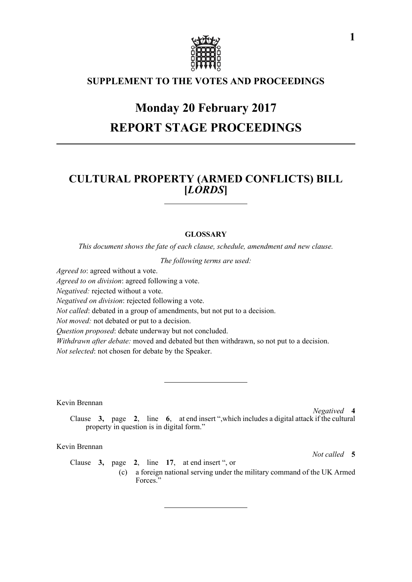

## **SUPPLEMENT TO THE VOTES AND PROCEEDINGS**

# **Monday 20 February 2017 REPORT STAGE PROCEEDINGS**

# **CULTURAL PROPERTY (ARMED CONFLICTS) BILL [***LORDS***]**

#### **GLOSSARY**

*This document shows the fate of each clause, schedule, amendment and new clause.*

*The following terms are used:*

*Agreed to*: agreed without a vote.

*Agreed to on division*: agreed following a vote.

*Negatived:* rejected without a vote.

*Negatived on division*: rejected following a vote.

*Not called*: debated in a group of amendments, but not put to a decision.

*Not moved:* not debated or put to a decision.

*Question proposed*: debate underway but not concluded.

*Withdrawn after debate:* moved and debated but then withdrawn, so not put to a decision. *Not selected*: not chosen for debate by the Speaker.

Kevin Brennan

*Negatived* **4**

Clause **3,** page **2**, line **6**, at end insert ",which includes a digital attack if the cultural property in question is in digital form."

Kevin Brennan

*Not called* **5**

Clause **3,** page **2**, line **17**, at end insert ", or (c) a foreign national serving under the military command of the UK Armed Forces."